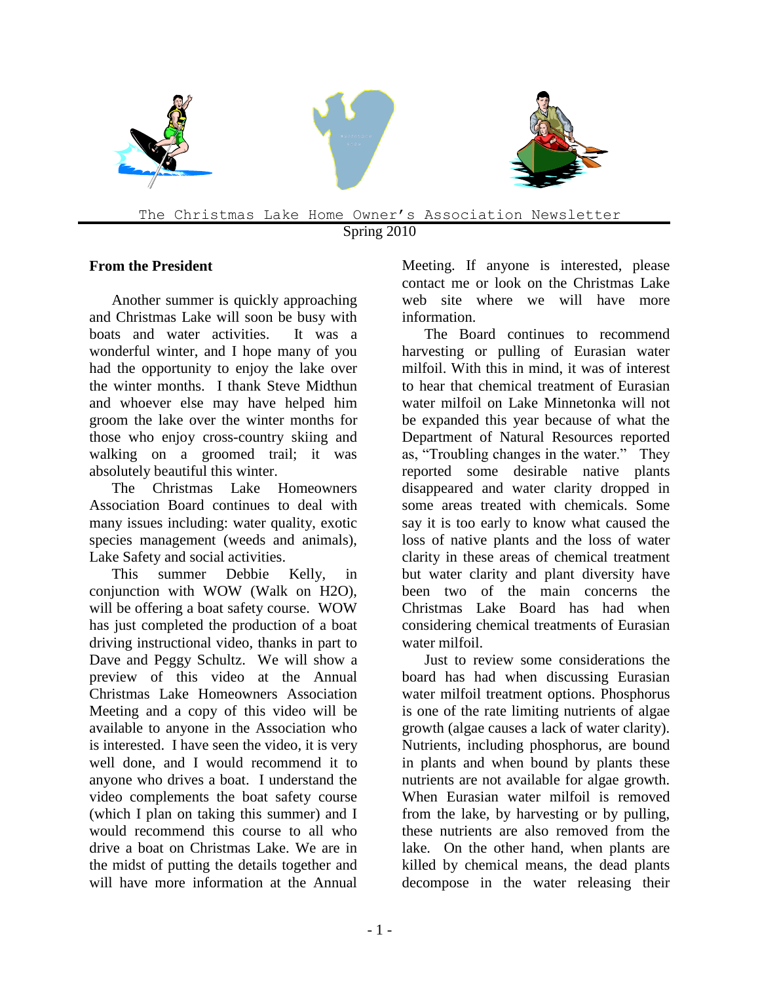

Spring 2010

### **From the President**

Another summer is quickly approaching and Christmas Lake will soon be busy with boats and water activities. It was a wonderful winter, and I hope many of you had the opportunity to enjoy the lake over the winter months. I thank Steve Midthun and whoever else may have helped him groom the lake over the winter months for those who enjoy cross-country skiing and walking on a groomed trail; it was absolutely beautiful this winter.

The Christmas Lake Homeowners Association Board continues to deal with many issues including: water quality, exotic species management (weeds and animals), Lake Safety and social activities.

This summer Debbie Kelly, in conjunction with WOW (Walk on H2O), will be offering a boat safety course. WOW has just completed the production of a boat driving instructional video, thanks in part to Dave and Peggy Schultz. We will show a preview of this video at the Annual Christmas Lake Homeowners Association Meeting and a copy of this video will be available to anyone in the Association who is interested. I have seen the video, it is very well done, and I would recommend it to anyone who drives a boat. I understand the video complements the boat safety course (which I plan on taking this summer) and I would recommend this course to all who drive a boat on Christmas Lake. We are in the midst of putting the details together and will have more information at the Annual

Meeting. If anyone is interested, please contact me or look on the Christmas Lake web site where we will have more information.

The Board continues to recommend harvesting or pulling of Eurasian water milfoil. With this in mind, it was of interest to hear that chemical treatment of Eurasian water milfoil on Lake Minnetonka will not be expanded this year because of what the Department of Natural Resources reported as, "Troubling changes in the water." They reported some desirable native plants disappeared and water clarity dropped in some areas treated with chemicals. Some say it is too early to know what caused the loss of native plants and the loss of water clarity in these areas of chemical treatment but water clarity and plant diversity have been two of the main concerns the Christmas Lake Board has had when considering chemical treatments of Eurasian water milfoil.

Just to review some considerations the board has had when discussing Eurasian water milfoil treatment options. Phosphorus is one of the rate limiting nutrients of algae growth (algae causes a lack of water clarity). Nutrients, including phosphorus, are bound in plants and when bound by plants these nutrients are not available for algae growth. When Eurasian water milfoil is removed from the lake, by harvesting or by pulling, these nutrients are also removed from the lake. On the other hand, when plants are killed by chemical means, the dead plants decompose in the water releasing their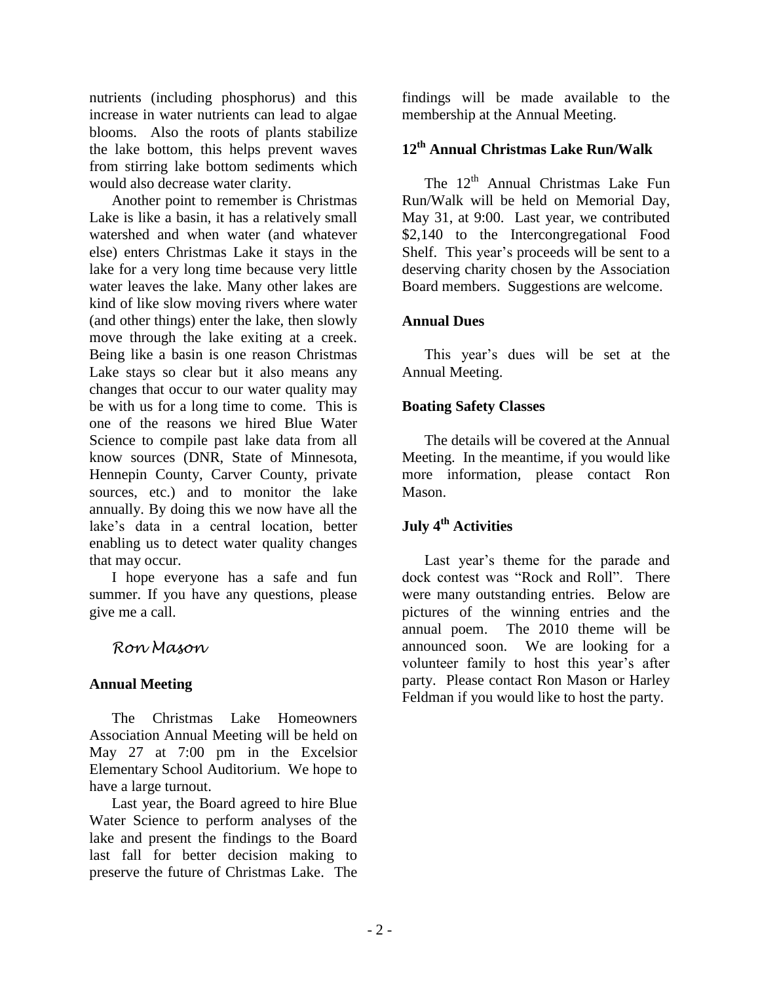nutrients (including phosphorus) and this increase in water nutrients can lead to algae blooms. Also the roots of plants stabilize the lake bottom, this helps prevent waves from stirring lake bottom sediments which would also decrease water clarity.

Another point to remember is Christmas Lake is like a basin, it has a relatively small watershed and when water (and whatever else) enters Christmas Lake it stays in the lake for a very long time because very little water leaves the lake. Many other lakes are kind of like slow moving rivers where water (and other things) enter the lake, then slowly move through the lake exiting at a creek. Being like a basin is one reason Christmas Lake stays so clear but it also means any changes that occur to our water quality may be with us for a long time to come. This is one of the reasons we hired Blue Water Science to compile past lake data from all know sources (DNR, State of Minnesota, Hennepin County, Carver County, private sources, etc.) and to monitor the lake annually. By doing this we now have all the lake's data in a central location, better enabling us to detect water quality changes that may occur.

I hope everyone has a safe and fun summer. If you have any questions, please give me a call.

## *Ron Mason*

### **Annual Meeting**

The Christmas Lake Homeowners Association Annual Meeting will be held on May 27 at 7:00 pm in the Excelsior Elementary School Auditorium. We hope to have a large turnout.

Last year, the Board agreed to hire Blue Water Science to perform analyses of the lake and present the findings to the Board last fall for better decision making to preserve the future of Christmas Lake. The

findings will be made available to the membership at the Annual Meeting.

# **12 th Annual Christmas Lake Run/Walk**

The 12<sup>th</sup> Annual Christmas Lake Fun Run/Walk will be held on Memorial Day, May 31, at 9:00. Last year, we contributed \$2,140 to the Intercongregational Food Shelf. This year's proceeds will be sent to a deserving charity chosen by the Association Board members. Suggestions are welcome.

#### **Annual Dues**

This year's dues will be set at the Annual Meeting.

#### **Boating Safety Classes**

The details will be covered at the Annual Meeting. In the meantime, if you would like more information, please contact Ron Mason.

# **July 4th Activities**

Last year's theme for the parade and dock contest was "Rock and Roll". There were many outstanding entries. Below are pictures of the winning entries and the annual poem. The 2010 theme will be announced soon. We are looking for a volunteer family to host this year's after party. Please contact Ron Mason or Harley Feldman if you would like to host the party.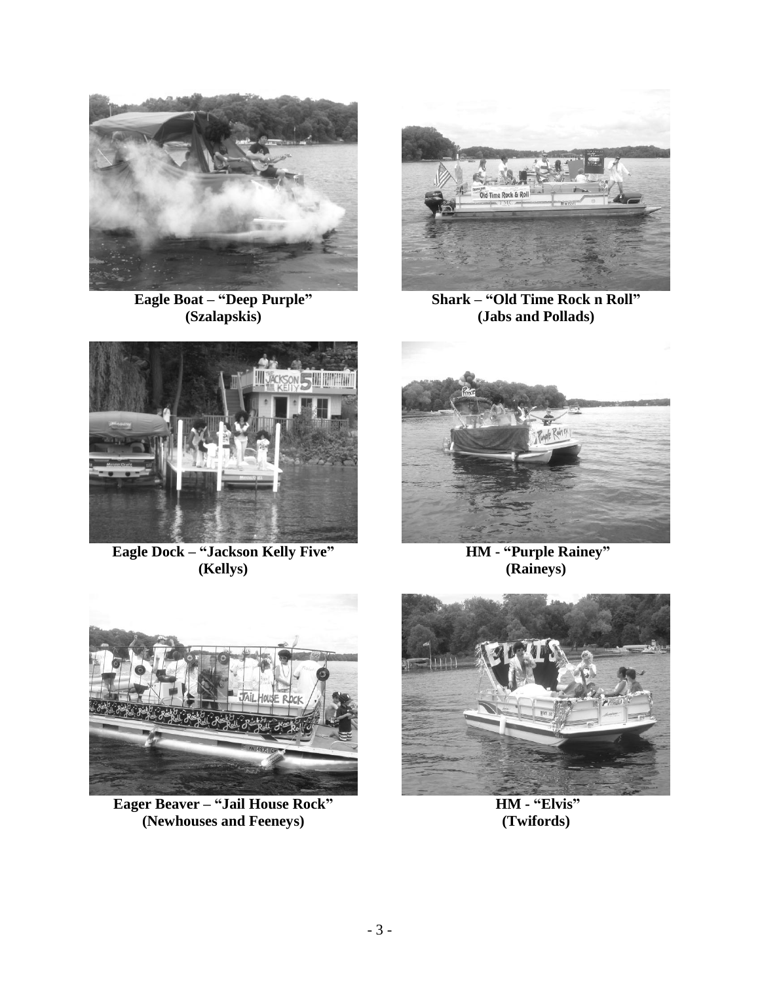

**Eagle Boat – "Deep Purple" (Szalapskis)**



**Shark – "Old Time Rock n Roll" (Jabs and Pollads)**



**Eagle Dock – "Jackson Kelly Five" (Kellys)**



**HM - "Purple Rainey" (Raineys)**



**Eager Beaver – "Jail House Rock" (Newhouses and Feeneys)**



**HM - "Elvis" (Twifords)**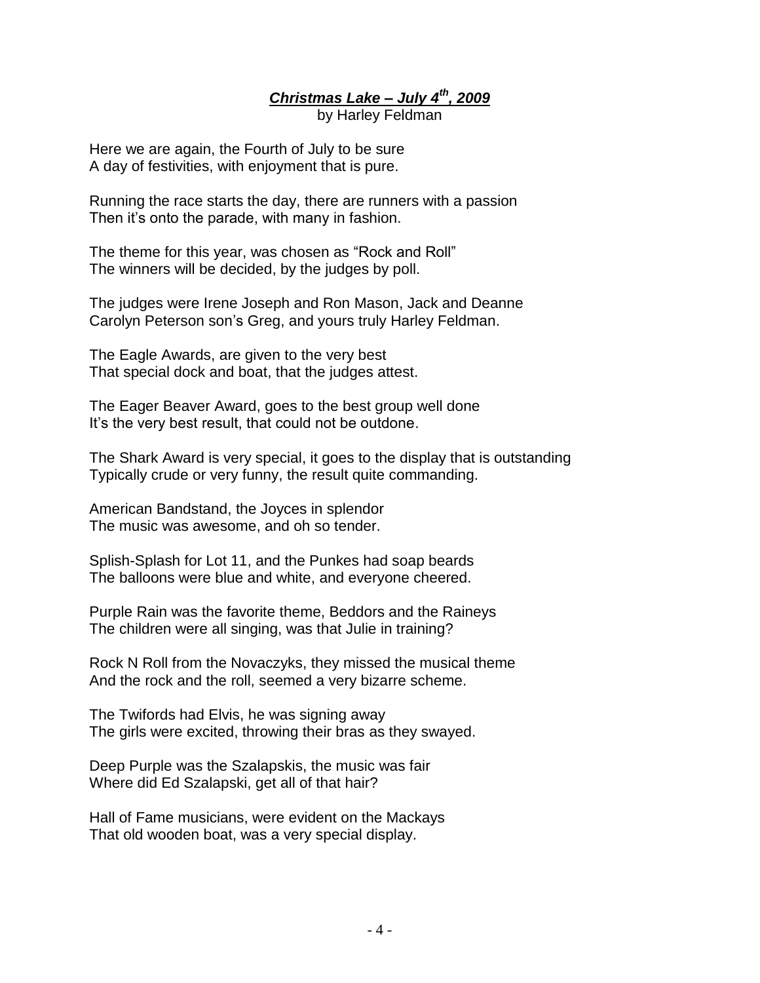*Christmas Lake – July 4th, 2009* by Harley Feldman

Here we are again, the Fourth of July to be sure A day of festivities, with enjoyment that is pure.

Running the race starts the day, there are runners with a passion Then it's onto the parade, with many in fashion.

The theme for this year, was chosen as "Rock and Roll" The winners will be decided, by the judges by poll.

The judges were Irene Joseph and Ron Mason, Jack and Deanne Carolyn Peterson son's Greg, and yours truly Harley Feldman.

The Eagle Awards, are given to the very best That special dock and boat, that the judges attest.

The Eager Beaver Award, goes to the best group well done It's the very best result, that could not be outdone.

The Shark Award is very special, it goes to the display that is outstanding Typically crude or very funny, the result quite commanding.

American Bandstand, the Joyces in splendor The music was awesome, and oh so tender.

Splish-Splash for Lot 11, and the Punkes had soap beards The balloons were blue and white, and everyone cheered.

Purple Rain was the favorite theme, Beddors and the Raineys The children were all singing, was that Julie in training?

Rock N Roll from the Novaczyks, they missed the musical theme And the rock and the roll, seemed a very bizarre scheme.

The Twifords had Elvis, he was signing away The girls were excited, throwing their bras as they swayed.

Deep Purple was the Szalapskis, the music was fair Where did Ed Szalapski, get all of that hair?

Hall of Fame musicians, were evident on the Mackays That old wooden boat, was a very special display.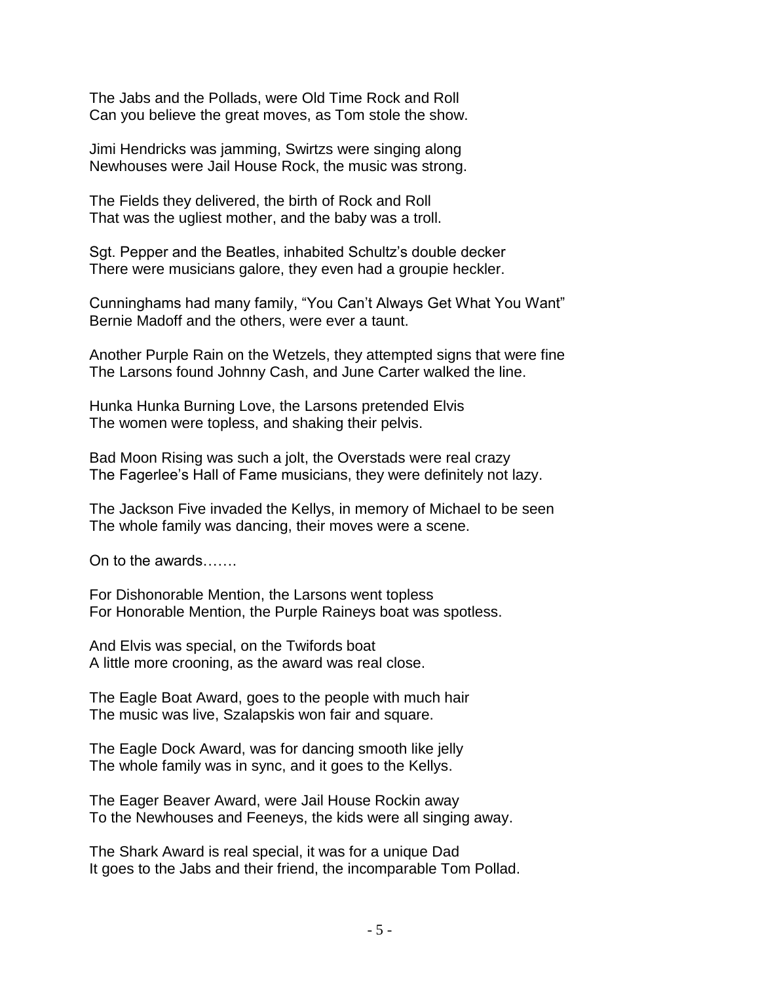The Jabs and the Pollads, were Old Time Rock and Roll Can you believe the great moves, as Tom stole the show.

Jimi Hendricks was jamming, Swirtzs were singing along Newhouses were Jail House Rock, the music was strong.

The Fields they delivered, the birth of Rock and Roll That was the ugliest mother, and the baby was a troll.

Sgt. Pepper and the Beatles, inhabited Schultz's double decker There were musicians galore, they even had a groupie heckler.

Cunninghams had many family, "You Can't Always Get What You Want" Bernie Madoff and the others, were ever a taunt.

Another Purple Rain on the Wetzels, they attempted signs that were fine The Larsons found Johnny Cash, and June Carter walked the line.

Hunka Hunka Burning Love, the Larsons pretended Elvis The women were topless, and shaking their pelvis.

Bad Moon Rising was such a jolt, the Overstads were real crazy The Fagerlee's Hall of Fame musicians, they were definitely not lazy.

The Jackson Five invaded the Kellys, in memory of Michael to be seen The whole family was dancing, their moves were a scene.

On to the awards…….

For Dishonorable Mention, the Larsons went topless For Honorable Mention, the Purple Raineys boat was spotless.

And Elvis was special, on the Twifords boat A little more crooning, as the award was real close.

The Eagle Boat Award, goes to the people with much hair The music was live, Szalapskis won fair and square.

The Eagle Dock Award, was for dancing smooth like jelly The whole family was in sync, and it goes to the Kellys.

The Eager Beaver Award, were Jail House Rockin away To the Newhouses and Feeneys, the kids were all singing away.

The Shark Award is real special, it was for a unique Dad It goes to the Jabs and their friend, the incomparable Tom Pollad.